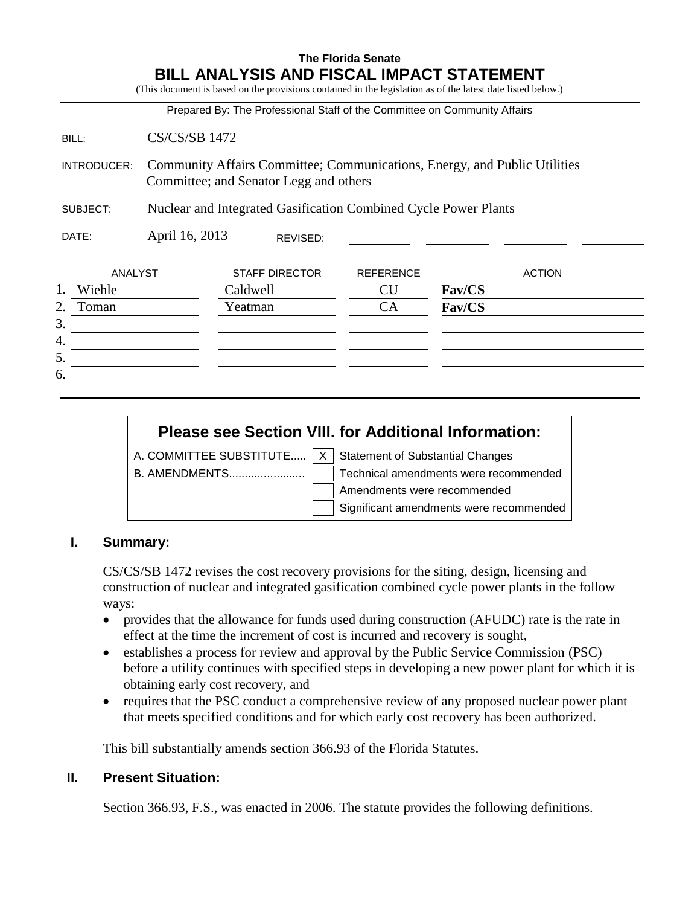|                |                      | Prepared By: The Professional Staff of the Committee on Community Affairs |                  |                                                                           |
|----------------|----------------------|---------------------------------------------------------------------------|------------------|---------------------------------------------------------------------------|
| BILL:          | <b>CS/CS/SB 1472</b> |                                                                           |                  |                                                                           |
| INTRODUCER:    |                      | Committee; and Senator Legg and others                                    |                  | Community Affairs Committee; Communications, Energy, and Public Utilities |
| SUBJECT:       |                      | Nuclear and Integrated Gasification Combined Cycle Power Plants           |                  |                                                                           |
| DATE:          | April 16, 2013       | REVISED:                                                                  |                  |                                                                           |
| <b>ANALYST</b> |                      | <b>STAFF DIRECTOR</b>                                                     | <b>REFERENCE</b> | <b>ACTION</b>                                                             |
| 1.<br>Wiehle   |                      | Caldwell                                                                  | <b>CU</b>        | <b>Fav/CS</b>                                                             |
| 2.<br>Toman    |                      | Yeatman                                                                   | CA               | <b>Fav/CS</b>                                                             |
| 3.             |                      |                                                                           |                  |                                                                           |
| 4.             |                      |                                                                           |                  |                                                                           |
| 5.             |                      |                                                                           |                  |                                                                           |
| 6.             |                      |                                                                           |                  |                                                                           |

# **Please see Section VIII. for Additional Information:**

A. COMMITTEE SUBSTITUTE.....  $\overline{X}$  Statement of Substantial Changes B. AMENDMENTS........................ Technical amendments were recommended

Amendments were recommended

Significant amendments were recommended

## **I. Summary:**

CS/CS/SB 1472 revises the cost recovery provisions for the siting, design, licensing and construction of nuclear and integrated gasification combined cycle power plants in the follow ways:

- provides that the allowance for funds used during construction (AFUDC) rate is the rate in effect at the time the increment of cost is incurred and recovery is sought,
- establishes a process for review and approval by the Public Service Commission (PSC) before a utility continues with specified steps in developing a new power plant for which it is obtaining early cost recovery, and
- requires that the PSC conduct a comprehensive review of any proposed nuclear power plant that meets specified conditions and for which early cost recovery has been authorized.

This bill substantially amends section 366.93 of the Florida Statutes.

## **II. Present Situation:**

Section 366.93, F.S., was enacted in 2006. The statute provides the following definitions.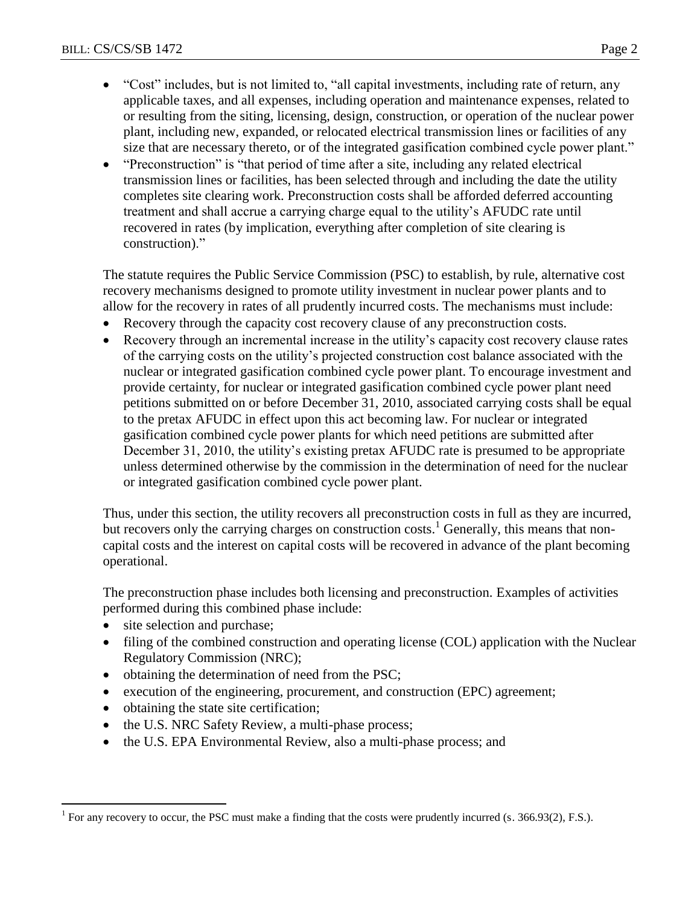- "Cost" includes, but is not limited to, "all capital investments, including rate of return, any applicable taxes, and all expenses, including operation and maintenance expenses, related to or resulting from the siting, licensing, design, construction, or operation of the nuclear power plant, including new, expanded, or relocated electrical transmission lines or facilities of any size that are necessary thereto, or of the integrated gasification combined cycle power plant."
- "Preconstruction" is "that period of time after a site, including any related electrical transmission lines or facilities, has been selected through and including the date the utility completes site clearing work. Preconstruction costs shall be afforded deferred accounting treatment and shall accrue a carrying charge equal to the utility's AFUDC rate until recovered in rates (by implication, everything after completion of site clearing is construction)."

The statute requires the Public Service Commission (PSC) to establish, by rule, alternative cost recovery mechanisms designed to promote utility investment in nuclear power plants and to allow for the recovery in rates of all prudently incurred costs. The mechanisms must include:

- Recovery through the capacity cost recovery clause of any preconstruction costs.
- Recovery through an incremental increase in the utility's capacity cost recovery clause rates of the carrying costs on the utility's projected construction cost balance associated with the nuclear or integrated gasification combined cycle power plant. To encourage investment and provide certainty, for nuclear or integrated gasification combined cycle power plant need petitions submitted on or before December 31, 2010, associated carrying costs shall be equal to the pretax AFUDC in effect upon this act becoming law. For nuclear or integrated gasification combined cycle power plants for which need petitions are submitted after December 31, 2010, the utility's existing pretax AFUDC rate is presumed to be appropriate unless determined otherwise by the commission in the determination of need for the nuclear or integrated gasification combined cycle power plant.

Thus, under this section, the utility recovers all preconstruction costs in full as they are incurred, but recovers only the carrying charges on construction costs.<sup>1</sup> Generally, this means that noncapital costs and the interest on capital costs will be recovered in advance of the plant becoming operational.

The preconstruction phase includes both licensing and preconstruction. Examples of activities performed during this combined phase include:

• site selection and purchase;

 $\overline{a}$ 

- filing of the combined construction and operating license (COL) application with the Nuclear Regulatory Commission (NRC);
- obtaining the determination of need from the PSC;
- execution of the engineering, procurement, and construction (EPC) agreement;
- obtaining the state site certification;
- the U.S. NRC Safety Review, a multi-phase process;
- the U.S. EPA Environmental Review, also a multi-phase process; and

<sup>1</sup> For any recovery to occur, the PSC must make a finding that the costs were prudently incurred (s. 366.93(2), F.S.).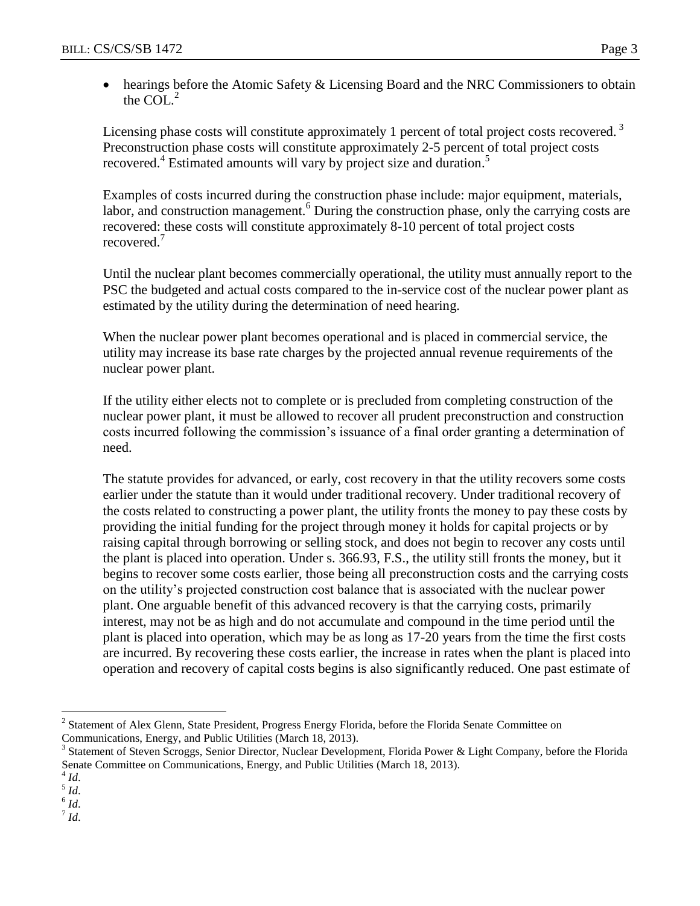• hearings before the Atomic Safety & Licensing Board and the NRC Commissioners to obtain the COL $^2$ 

Licensing phase costs will constitute approximately 1 percent of total project costs recovered.<sup>3</sup> Preconstruction phase costs will constitute approximately 2-5 percent of total project costs recovered.<sup>4</sup> Estimated amounts will vary by project size and duration.<sup>5</sup>

Examples of costs incurred during the construction phase include: major equipment, materials, labor, and construction management.<sup>6</sup> During the construction phase, only the carrying costs are recovered: these costs will constitute approximately 8-10 percent of total project costs recovered.<sup>7</sup>

Until the nuclear plant becomes commercially operational, the utility must annually report to the PSC the budgeted and actual costs compared to the in-service cost of the nuclear power plant as estimated by the utility during the determination of need hearing.

When the nuclear power plant becomes operational and is placed in commercial service, the utility may increase its base rate charges by the projected annual revenue requirements of the nuclear power plant.

If the utility either elects not to complete or is precluded from completing construction of the nuclear power plant, it must be allowed to recover all prudent preconstruction and construction costs incurred following the commission's issuance of a final order granting a determination of need.

The statute provides for advanced, or early, cost recovery in that the utility recovers some costs earlier under the statute than it would under traditional recovery. Under traditional recovery of the costs related to constructing a power plant, the utility fronts the money to pay these costs by providing the initial funding for the project through money it holds for capital projects or by raising capital through borrowing or selling stock, and does not begin to recover any costs until the plant is placed into operation. Under s. 366.93, F.S., the utility still fronts the money, but it begins to recover some costs earlier, those being all preconstruction costs and the carrying costs on the utility's projected construction cost balance that is associated with the nuclear power plant. One arguable benefit of this advanced recovery is that the carrying costs, primarily interest, may not be as high and do not accumulate and compound in the time period until the plant is placed into operation, which may be as long as 17-20 years from the time the first costs are incurred. By recovering these costs earlier, the increase in rates when the plant is placed into operation and recovery of capital costs begins is also significantly reduced. One past estimate of

5 *Id*.

6 *Id*. 7 *Id*.

 $\overline{a}$ <sup>2</sup> Statement of Alex Glenn, State President, Progress Energy Florida, before the Florida Senate Committee on Communications, Energy, and Public Utilities (March 18, 2013).

<sup>&</sup>lt;sup>3</sup> Statement of Steven Scroggs, Senior Director, Nuclear Development, Florida Power & Light Company, before the Florida Senate Committee on Communications, Energy, and Public Utilities (March 18, 2013).

<sup>4</sup> *Id*.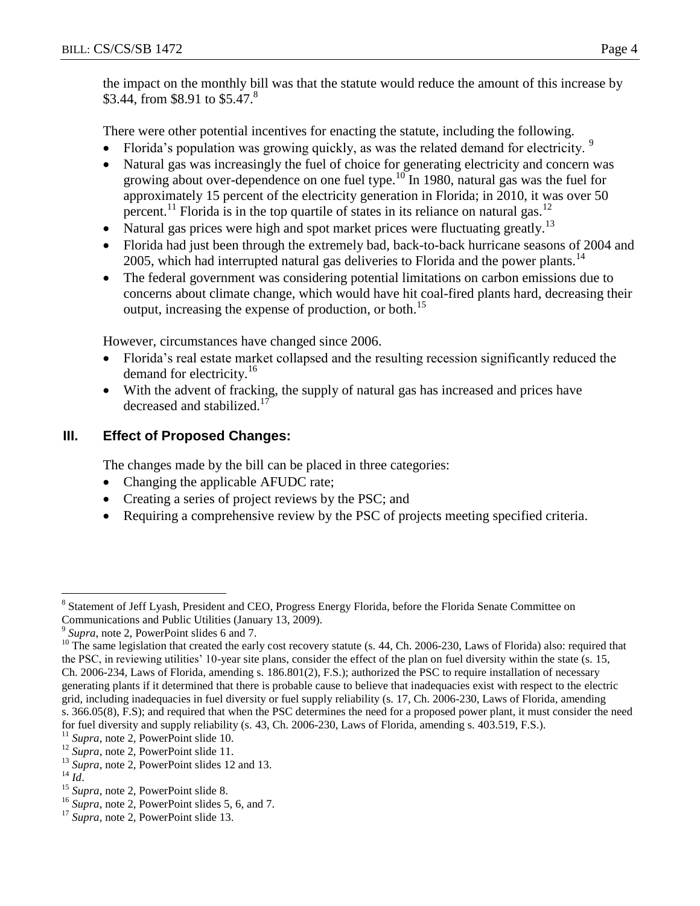the impact on the monthly bill was that the statute would reduce the amount of this increase by \$3.44, from \$8.91 to \$5.47.<sup>8</sup>

There were other potential incentives for enacting the statute, including the following.

- Florida's population was growing quickly, as was the related demand for electricity.  $9$
- Natural gas was increasingly the fuel of choice for generating electricity and concern was growing about over-dependence on one fuel type.<sup>10</sup> In 1980, natural gas was the fuel for approximately 15 percent of the electricity generation in Florida; in 2010, it was over 50 percent.<sup>11</sup> Florida is in the top quartile of states in its reliance on natural gas.<sup>12</sup>
- Natural gas prices were high and spot market prices were fluctuating greatly.<sup>13</sup>
- Florida had just been through the extremely bad, back-to-back hurricane seasons of 2004 and 2005, which had interrupted natural gas deliveries to Florida and the power plants.<sup>14</sup>
- The federal government was considering potential limitations on carbon emissions due to concerns about climate change, which would have hit coal-fired plants hard, decreasing their output, increasing the expense of production, or both.<sup>15</sup>

However, circumstances have changed since 2006.

- Florida's real estate market collapsed and the resulting recession significantly reduced the demand for electricity.<sup>16</sup>
- With the advent of fracking, the supply of natural gas has increased and prices have decreased and stabilized.<sup>17</sup>

# **III. Effect of Proposed Changes:**

The changes made by the bill can be placed in three categories:

- Changing the applicable AFUDC rate;
- Creating a series of project reviews by the PSC; and
- Requiring a comprehensive review by the PSC of projects meeting specified criteria.

 $\overline{a}$ <sup>8</sup> Statement of Jeff Lyash, President and CEO, Progress Energy Florida, before the Florida Senate Committee on Communications and Public Utilities (January 13, 2009).

<sup>&</sup>lt;sup>9</sup> Supra, note 2, PowerPoint slides 6 and 7.

<sup>&</sup>lt;sup>10</sup> The same legislation that created the early cost recovery statute (s. 44, Ch. 2006-230, Laws of Florida) also: required that the PSC, in reviewing utilities' 10-year site plans, consider the effect of the plan on fuel diversity within the state (s. 15, Ch. 2006-234, Laws of Florida, amending s. 186.801(2), F.S.); authorized the PSC to require installation of necessary generating plants if it determined that there is probable cause to believe that inadequacies exist with respect to the electric grid, including inadequacies in fuel diversity or fuel supply reliability (s. 17, Ch. 2006-230, Laws of Florida, amending s. 366.05(8), F.S); and required that when the PSC determines the need for a proposed power plant, it must consider the need for fuel diversity and supply reliability (s. 43, Ch. 2006-230, Laws of Florida, amending s. 403.519, F.S.).

<sup>&</sup>lt;sup>11</sup> *Supra*, note 2, PowerPoint slide 10.

<sup>&</sup>lt;sup>12</sup> *Supra*, note 2, PowerPoint slide 11.

<sup>&</sup>lt;sup>13</sup> *Supra*, note 2, PowerPoint slides 12 and 13.

<sup>14</sup> *Id*.

<sup>&</sup>lt;sup>15</sup> *Supra*, note 2, PowerPoint slide 8.

<sup>16</sup> *Supra*, note 2, PowerPoint slides 5, 6, and 7.

<sup>&</sup>lt;sup>17</sup> *Supra*, note 2, PowerPoint slide 13.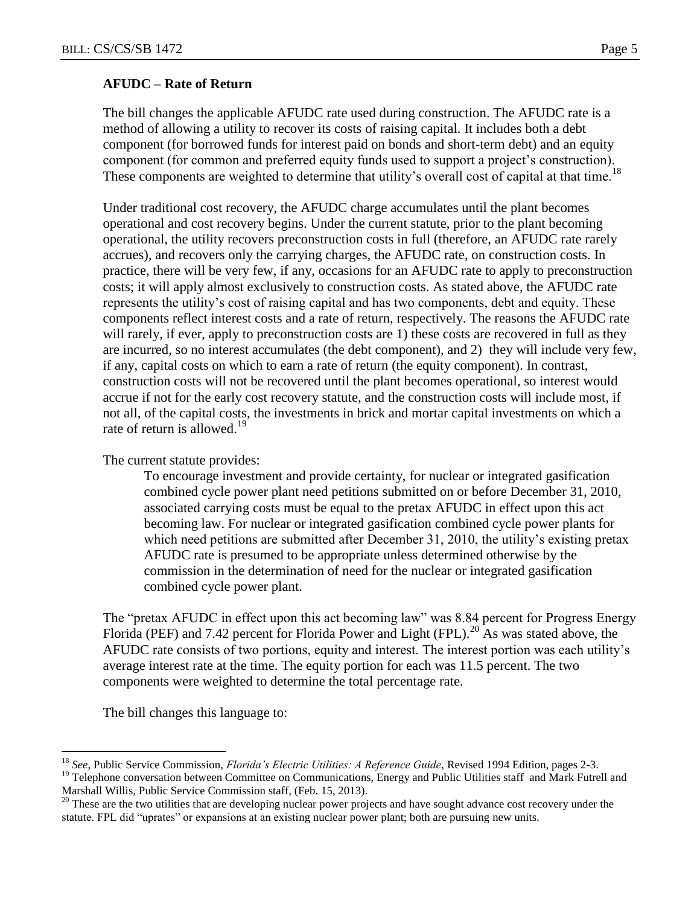#### **AFUDC – Rate of Return**

The bill changes the applicable AFUDC rate used during construction. The AFUDC rate is a method of allowing a utility to recover its costs of raising capital. It includes both a debt component (for borrowed funds for interest paid on bonds and short-term debt) and an equity component (for common and preferred equity funds used to support a project's construction). These components are weighted to determine that utility's overall cost of capital at that time.<sup>18</sup>

Under traditional cost recovery, the AFUDC charge accumulates until the plant becomes operational and cost recovery begins. Under the current statute, prior to the plant becoming operational, the utility recovers preconstruction costs in full (therefore, an AFUDC rate rarely accrues), and recovers only the carrying charges, the AFUDC rate, on construction costs. In practice, there will be very few, if any, occasions for an AFUDC rate to apply to preconstruction costs; it will apply almost exclusively to construction costs. As stated above, the AFUDC rate represents the utility's cost of raising capital and has two components, debt and equity. These components reflect interest costs and a rate of return, respectively. The reasons the AFUDC rate will rarely, if ever, apply to preconstruction costs are 1) these costs are recovered in full as they are incurred, so no interest accumulates (the debt component), and 2) they will include very few, if any, capital costs on which to earn a rate of return (the equity component). In contrast, construction costs will not be recovered until the plant becomes operational, so interest would accrue if not for the early cost recovery statute, and the construction costs will include most, if not all, of the capital costs, the investments in brick and mortar capital investments on which a rate of return is allowed.<sup>19</sup>

The current statute provides:

To encourage investment and provide certainty, for nuclear or integrated gasification combined cycle power plant need petitions submitted on or before December 31, 2010, associated carrying costs must be equal to the pretax AFUDC in effect upon this act becoming law. For nuclear or integrated gasification combined cycle power plants for which need petitions are submitted after December 31, 2010, the utility's existing pretax AFUDC rate is presumed to be appropriate unless determined otherwise by the commission in the determination of need for the nuclear or integrated gasification combined cycle power plant.

The "pretax AFUDC in effect upon this act becoming law" was 8.84 percent for Progress Energy Florida (PEF) and 7.42 percent for Florida Power and Light (FPL).<sup>20</sup> As was stated above, the AFUDC rate consists of two portions, equity and interest. The interest portion was each utility's average interest rate at the time. The equity portion for each was 11.5 percent. The two components were weighted to determine the total percentage rate.

The bill changes this language to:

 $\overline{a}$ 

<sup>18</sup> *See*, Public Service Commission, *Florida's Electric Utilities: A Reference Guide*, Revised 1994 Edition, pages 2-3.

 $19$  Telephone conversation between Committee on Communications, Energy and Public Utilities staff and Mark Futrell and Marshall Willis, Public Service Commission staff, (Feb. 15, 2013).

<sup>&</sup>lt;sup>20</sup> These are the two utilities that are developing nuclear power projects and have sought advance cost recovery under the statute. FPL did "uprates" or expansions at an existing nuclear power plant; both are pursuing new units.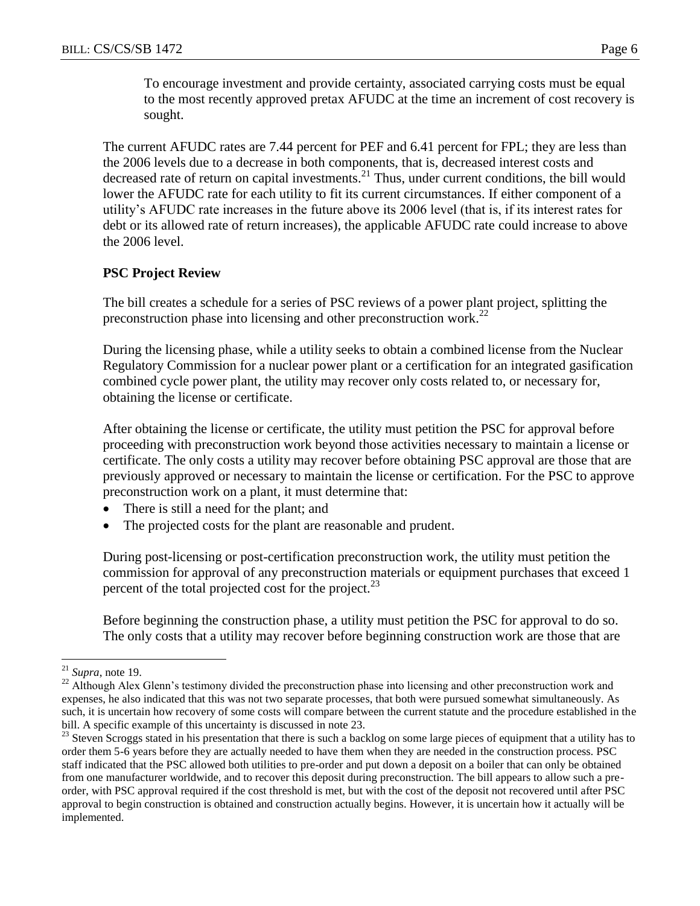To encourage investment and provide certainty, associated carrying costs must be equal to the most recently approved pretax AFUDC at the time an increment of cost recovery is sought.

The current AFUDC rates are 7.44 percent for PEF and 6.41 percent for FPL; they are less than the 2006 levels due to a decrease in both components, that is, decreased interest costs and decreased rate of return on capital investments.<sup>21</sup> Thus, under current conditions, the bill would lower the AFUDC rate for each utility to fit its current circumstances. If either component of a utility's AFUDC rate increases in the future above its 2006 level (that is, if its interest rates for debt or its allowed rate of return increases), the applicable AFUDC rate could increase to above the 2006 level.

#### **PSC Project Review**

The bill creates a schedule for a series of PSC reviews of a power plant project, splitting the preconstruction phase into licensing and other preconstruction work.<sup>22</sup>

During the licensing phase, while a utility seeks to obtain a combined license from the Nuclear Regulatory Commission for a nuclear power plant or a certification for an integrated gasification combined cycle power plant, the utility may recover only costs related to, or necessary for, obtaining the license or certificate.

After obtaining the license or certificate, the utility must petition the PSC for approval before proceeding with preconstruction work beyond those activities necessary to maintain a license or certificate. The only costs a utility may recover before obtaining PSC approval are those that are previously approved or necessary to maintain the license or certification. For the PSC to approve preconstruction work on a plant, it must determine that:

- There is still a need for the plant; and
- The projected costs for the plant are reasonable and prudent.

During post-licensing or post-certification preconstruction work, the utility must petition the commission for approval of any preconstruction materials or equipment purchases that exceed 1 percent of the total projected cost for the project.<sup>23</sup>

Before beginning the construction phase, a utility must petition the PSC for approval to do so. The only costs that a utility may recover before beginning construction work are those that are

 $\overline{a}$ 

<sup>21</sup> *Supra*, note 19.

<sup>&</sup>lt;sup>22</sup> Although Alex Glenn's testimony divided the preconstruction phase into licensing and other preconstruction work and expenses, he also indicated that this was not two separate processes, that both were pursued somewhat simultaneously. As such, it is uncertain how recovery of some costs will compare between the current statute and the procedure established in the bill. A specific example of this uncertainty is discussed in note 23.

<sup>&</sup>lt;sup>23</sup> Steven Scroggs stated in his presentation that there is such a backlog on some large pieces of equipment that a utility has to order them 5-6 years before they are actually needed to have them when they are needed in the construction process. PSC staff indicated that the PSC allowed both utilities to pre-order and put down a deposit on a boiler that can only be obtained from one manufacturer worldwide, and to recover this deposit during preconstruction. The bill appears to allow such a preorder, with PSC approval required if the cost threshold is met, but with the cost of the deposit not recovered until after PSC approval to begin construction is obtained and construction actually begins. However, it is uncertain how it actually will be implemented.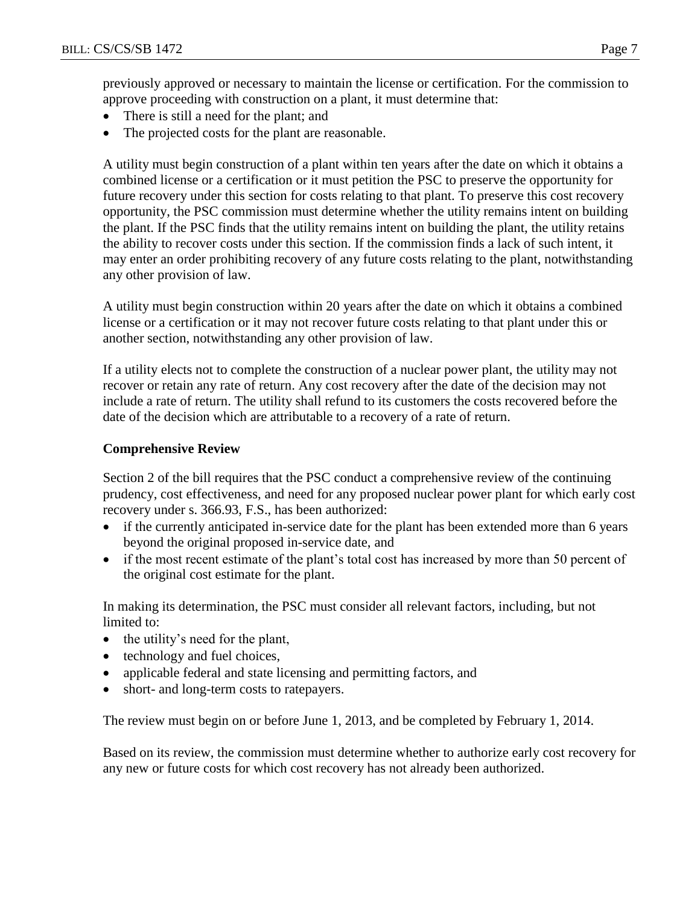previously approved or necessary to maintain the license or certification. For the commission to approve proceeding with construction on a plant, it must determine that:

- There is still a need for the plant; and
- The projected costs for the plant are reasonable.

A utility must begin construction of a plant within ten years after the date on which it obtains a combined license or a certification or it must petition the PSC to preserve the opportunity for future recovery under this section for costs relating to that plant. To preserve this cost recovery opportunity, the PSC commission must determine whether the utility remains intent on building the plant. If the PSC finds that the utility remains intent on building the plant, the utility retains the ability to recover costs under this section. If the commission finds a lack of such intent, it may enter an order prohibiting recovery of any future costs relating to the plant, notwithstanding any other provision of law.

A utility must begin construction within 20 years after the date on which it obtains a combined license or a certification or it may not recover future costs relating to that plant under this or another section, notwithstanding any other provision of law.

If a utility elects not to complete the construction of a nuclear power plant, the utility may not recover or retain any rate of return. Any cost recovery after the date of the decision may not include a rate of return. The utility shall refund to its customers the costs recovered before the date of the decision which are attributable to a recovery of a rate of return.

# **Comprehensive Review**

Section 2 of the bill requires that the PSC conduct a comprehensive review of the continuing prudency, cost effectiveness, and need for any proposed nuclear power plant for which early cost recovery under s. 366.93, F.S., has been authorized:

- if the currently anticipated in-service date for the plant has been extended more than 6 years beyond the original proposed in-service date, and
- if the most recent estimate of the plant's total cost has increased by more than 50 percent of the original cost estimate for the plant.

In making its determination, the PSC must consider all relevant factors, including, but not limited to:

- the utility's need for the plant,
- technology and fuel choices,
- applicable federal and state licensing and permitting factors, and
- short- and long-term costs to ratepayers.

The review must begin on or before June 1, 2013, and be completed by February 1, 2014.

Based on its review, the commission must determine whether to authorize early cost recovery for any new or future costs for which cost recovery has not already been authorized.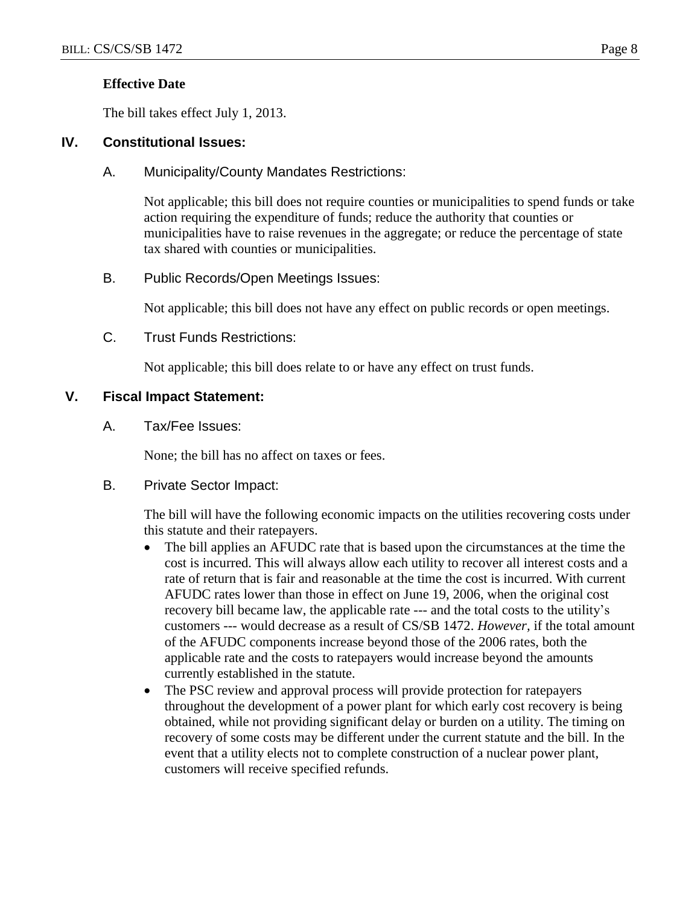## **Effective Date**

The bill takes effect July 1, 2013.

## **IV. Constitutional Issues:**

## A. Municipality/County Mandates Restrictions:

Not applicable; this bill does not require counties or municipalities to spend funds or take action requiring the expenditure of funds; reduce the authority that counties or municipalities have to raise revenues in the aggregate; or reduce the percentage of state tax shared with counties or municipalities.

## B. Public Records/Open Meetings Issues:

Not applicable; this bill does not have any effect on public records or open meetings.

### C. Trust Funds Restrictions:

Not applicable; this bill does relate to or have any effect on trust funds.

## **V. Fiscal Impact Statement:**

A. Tax/Fee Issues:

None; the bill has no affect on taxes or fees.

B. Private Sector Impact:

The bill will have the following economic impacts on the utilities recovering costs under this statute and their ratepayers.

- The bill applies an AFUDC rate that is based upon the circumstances at the time the cost is incurred. This will always allow each utility to recover all interest costs and a rate of return that is fair and reasonable at the time the cost is incurred. With current AFUDC rates lower than those in effect on June 19, 2006, when the original cost recovery bill became law, the applicable rate --- and the total costs to the utility's customers --- would decrease as a result of CS/SB 1472. *However,* if the total amount of the AFUDC components increase beyond those of the 2006 rates, both the applicable rate and the costs to ratepayers would increase beyond the amounts currently established in the statute.
- The PSC review and approval process will provide protection for ratepayers throughout the development of a power plant for which early cost recovery is being obtained, while not providing significant delay or burden on a utility. The timing on recovery of some costs may be different under the current statute and the bill. In the event that a utility elects not to complete construction of a nuclear power plant, customers will receive specified refunds.